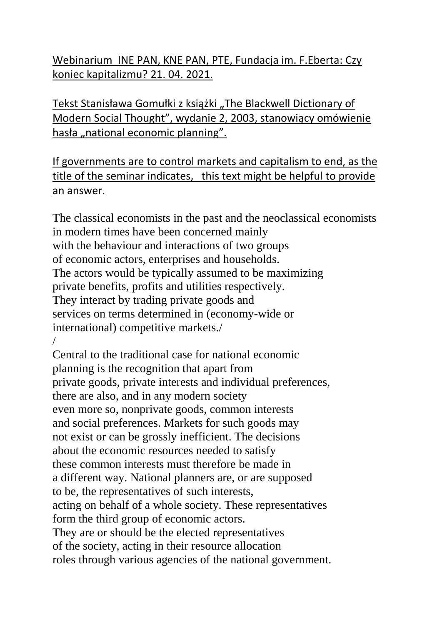Webinarium INE PAN, KNE PAN, PTE, Fundacja im. F.Eberta: Czy koniec kapitalizmu? 21. 04. 2021.

Tekst Stanisława Gomułki z książki "The Blackwell Dictionary of Modern Social Thought", wydanie 2, 2003, stanowiący omówienie hasła "national economic planning".

If governments are to control markets and capitalism to end, as the title of the seminar indicates, this text might be helpful to provide an answer.

The classical economists in the past and the neoclassical economists in modern times have been concerned mainly with the behaviour and interactions of two groups of economic actors, enterprises and households. The actors would be typically assumed to be maximizing private benefits, profits and utilities respectively. They interact by trading private goods and services on terms determined in (economy-wide or international) competitive markets./ /

Central to the traditional case for national economic planning is the recognition that apart from private goods, private interests and individual preferences, there are also, and in any modern society even more so, nonprivate goods, common interests and social preferences. Markets for such goods may not exist or can be grossly inefficient. The decisions about the economic resources needed to satisfy these common interests must therefore be made in a different way. National planners are, or are supposed to be, the representatives of such interests, acting on behalf of a whole society. These representatives form the third group of economic actors. They are or should be the elected representatives of the society, acting in their resource allocation roles through various agencies of the national government.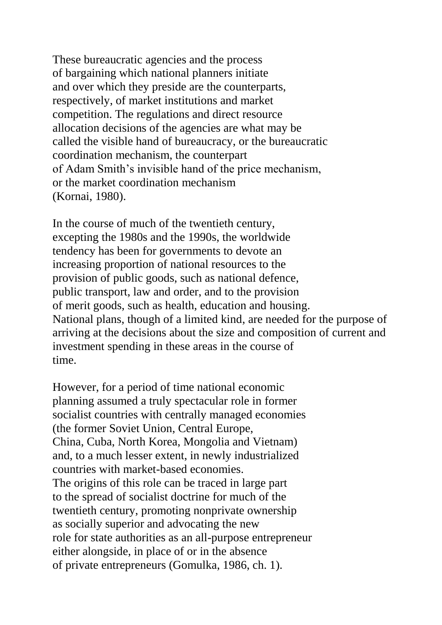These bureaucratic agencies and the process of bargaining which national planners initiate and over which they preside are the counterparts, respectively, of market institutions and market competition. The regulations and direct resource allocation decisions of the agencies are what may be called the visible hand of bureaucracy, or the bureaucratic coordination mechanism, the counterpart of Adam Smith's invisible hand of the price mechanism, or the market coordination mechanism (Kornai, 1980).

In the course of much of the twentieth century, excepting the 1980s and the 1990s, the worldwide tendency has been for governments to devote an increasing proportion of national resources to the provision of public goods, such as national defence, public transport, law and order, and to the provision of merit goods, such as health, education and housing. National plans, though of a limited kind, are needed for the purpose of arriving at the decisions about the size and composition of current and investment spending in these areas in the course of time.

However, for a period of time national economic planning assumed a truly spectacular role in former socialist countries with centrally managed economies (the former Soviet Union, Central Europe, China, Cuba, North Korea, Mongolia and Vietnam) and, to a much lesser extent, in newly industrialized countries with market-based economies. The origins of this role can be traced in large part to the spread of socialist doctrine for much of the twentieth century, promoting nonprivate ownership as socially superior and advocating the new role for state authorities as an all-purpose entrepreneur either alongside, in place of or in the absence of private entrepreneurs (Gomulka, 1986, ch. 1).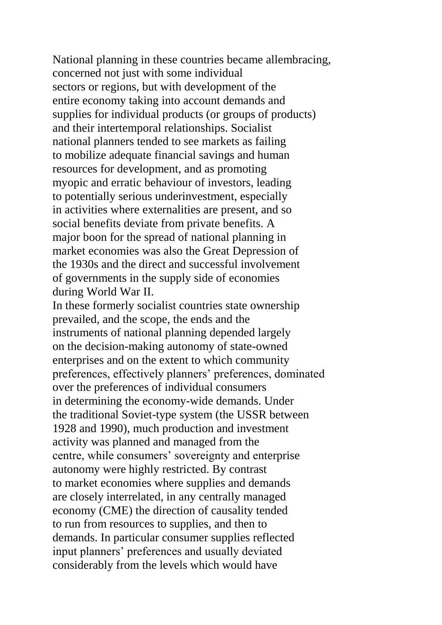National planning in these countries became allembracing, concerned not just with some individual sectors or regions, but with development of the entire economy taking into account demands and supplies for individual products (or groups of products) and their intertemporal relationships. Socialist national planners tended to see markets as failing to mobilize adequate financial savings and human resources for development, and as promoting myopic and erratic behaviour of investors, leading to potentially serious underinvestment, especially in activities where externalities are present, and so social benefits deviate from private benefits. A major boon for the spread of national planning in market economies was also the Great Depression of the 1930s and the direct and successful involvement of governments in the supply side of economies during World War II.

In these formerly socialist countries state ownership prevailed, and the scope, the ends and the instruments of national planning depended largely on the decision-making autonomy of state-owned enterprises and on the extent to which community preferences, effectively planners' preferences, dominated over the preferences of individual consumers in determining the economy-wide demands. Under the traditional Soviet-type system (the USSR between 1928 and 1990), much production and investment activity was planned and managed from the centre, while consumers' sovereignty and enterprise autonomy were highly restricted. By contrast to market economies where supplies and demands are closely interrelated, in any centrally managed economy (CME) the direction of causality tended to run from resources to supplies, and then to demands. In particular consumer supplies reflected input planners' preferences and usually deviated considerably from the levels which would have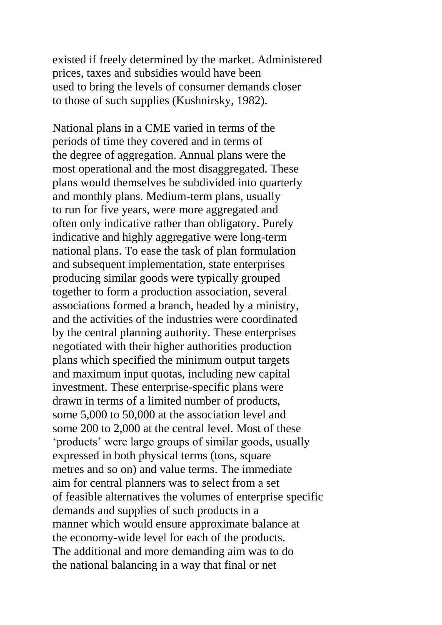existed if freely determined by the market. Administered prices, taxes and subsidies would have been used to bring the levels of consumer demands closer to those of such supplies (Kushnirsky, 1982).

National plans in a CME varied in terms of the periods of time they covered and in terms of the degree of aggregation. Annual plans were the most operational and the most disaggregated. These plans would themselves be subdivided into quarterly and monthly plans. Medium-term plans, usually to run for five years, were more aggregated and often only indicative rather than obligatory. Purely indicative and highly aggregative were long-term national plans. To ease the task of plan formulation and subsequent implementation, state enterprises producing similar goods were typically grouped together to form a production association, several associations formed a branch, headed by a ministry, and the activities of the industries were coordinated by the central planning authority. These enterprises negotiated with their higher authorities production plans which specified the minimum output targets and maximum input quotas, including new capital investment. These enterprise-specific plans were drawn in terms of a limited number of products, some 5,000 to 50,000 at the association level and some 200 to 2,000 at the central level. Most of these 'products' were large groups of similar goods, usually expressed in both physical terms (tons, square metres and so on) and value terms. The immediate aim for central planners was to select from a set of feasible alternatives the volumes of enterprise specific demands and supplies of such products in a manner which would ensure approximate balance at the economy-wide level for each of the products. The additional and more demanding aim was to do the national balancing in a way that final or net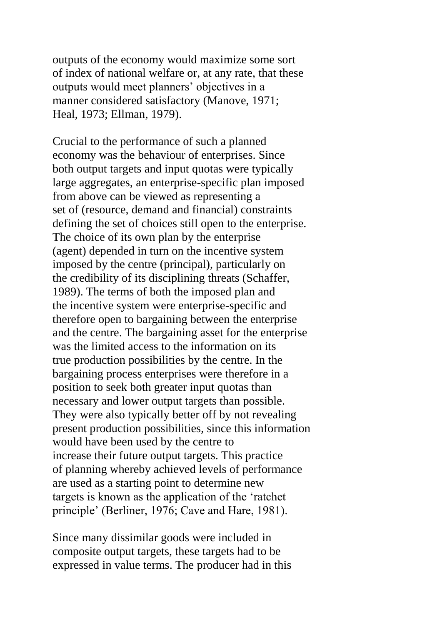outputs of the economy would maximize some sort of index of national welfare or, at any rate, that these outputs would meet planners' objectives in a manner considered satisfactory (Manove, 1971; Heal, 1973; Ellman, 1979).

Crucial to the performance of such a planned economy was the behaviour of enterprises. Since both output targets and input quotas were typically large aggregates, an enterprise-specific plan imposed from above can be viewed as representing a set of (resource, demand and financial) constraints defining the set of choices still open to the enterprise. The choice of its own plan by the enterprise (agent) depended in turn on the incentive system imposed by the centre (principal), particularly on the credibility of its disciplining threats (Schaffer, 1989). The terms of both the imposed plan and the incentive system were enterprise-specific and therefore open to bargaining between the enterprise and the centre. The bargaining asset for the enterprise was the limited access to the information on its true production possibilities by the centre. In the bargaining process enterprises were therefore in a position to seek both greater input quotas than necessary and lower output targets than possible. They were also typically better off by not revealing present production possibilities, since this information would have been used by the centre to increase their future output targets. This practice of planning whereby achieved levels of performance are used as a starting point to determine new targets is known as the application of the 'ratchet principle' (Berliner, 1976; Cave and Hare, 1981).

Since many dissimilar goods were included in composite output targets, these targets had to be expressed in value terms. The producer had in this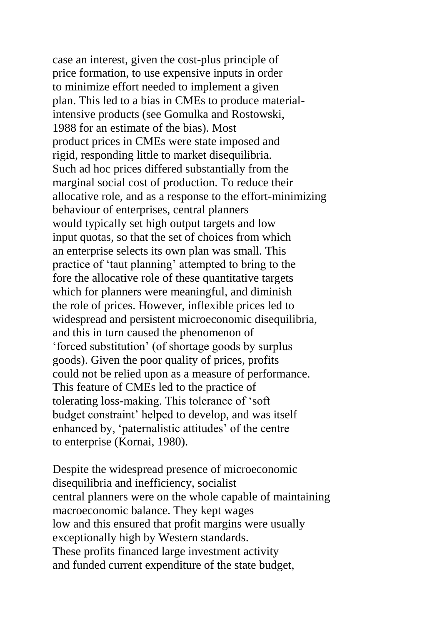case an interest, given the cost-plus principle of price formation, to use expensive inputs in order to minimize effort needed to implement a given plan. This led to a bias in CMEs to produce materialintensive products (see Gomulka and Rostowski, 1988 for an estimate of the bias). Most product prices in CMEs were state imposed and rigid, responding little to market disequilibria. Such ad hoc prices differed substantially from the marginal social cost of production. To reduce their allocative role, and as a response to the effort-minimizing behaviour of enterprises, central planners would typically set high output targets and low input quotas, so that the set of choices from which an enterprise selects its own plan was small. This practice of 'taut planning' attempted to bring to the fore the allocative role of these quantitative targets which for planners were meaningful, and diminish the role of prices. However, inflexible prices led to widespread and persistent microeconomic disequilibria, and this in turn caused the phenomenon of 'forced substitution' (of shortage goods by surplus goods). Given the poor quality of prices, profits could not be relied upon as a measure of performance. This feature of CMEs led to the practice of tolerating loss-making. This tolerance of 'soft budget constraint' helped to develop, and was itself enhanced by, 'paternalistic attitudes' of the centre to enterprise (Kornai, 1980).

Despite the widespread presence of microeconomic disequilibria and inefficiency, socialist central planners were on the whole capable of maintaining macroeconomic balance. They kept wages low and this ensured that profit margins were usually exceptionally high by Western standards. These profits financed large investment activity and funded current expenditure of the state budget,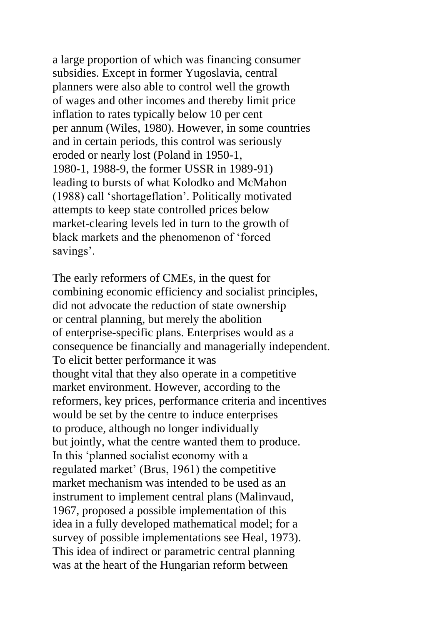a large proportion of which was financing consumer subsidies. Except in former Yugoslavia, central planners were also able to control well the growth of wages and other incomes and thereby limit price inflation to rates typically below 10 per cent per annum (Wiles, 1980). However, in some countries and in certain periods, this control was seriously eroded or nearly lost (Poland in 1950-1, 1980-1, 1988-9, the former USSR in 1989-91) leading to bursts of what Kolodko and McMahon (1988) call 'shortageflation'. Politically motivated attempts to keep state controlled prices below market-clearing levels led in turn to the growth of black markets and the phenomenon of 'forced savings'.

The early reformers of CMEs, in the quest for combining economic efficiency and socialist principles, did not advocate the reduction of state ownership or central planning, but merely the abolition of enterprise-specific plans. Enterprises would as a consequence be financially and managerially independent. To elicit better performance it was thought vital that they also operate in a competitive market environment. However, according to the reformers, key prices, performance criteria and incentives would be set by the centre to induce enterprises to produce, although no longer individually but jointly, what the centre wanted them to produce. In this 'planned socialist economy with a regulated market' (Brus, 1961) the competitive market mechanism was intended to be used as an instrument to implement central plans (Malinvaud, 1967, proposed a possible implementation of this idea in a fully developed mathematical model; for a survey of possible implementations see Heal, 1973). This idea of indirect or parametric central planning was at the heart of the Hungarian reform between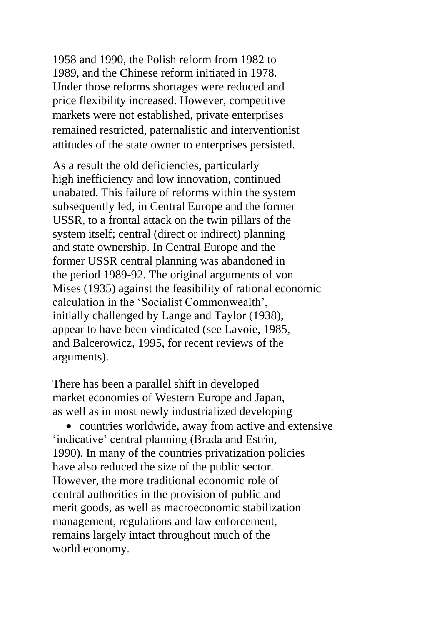1958 and 1990, the Polish reform from 1982 to 1989, and the Chinese reform initiated in 1978. Under those reforms shortages were reduced and price flexibility increased. However, competitive markets were not established, private enterprises remained restricted, paternalistic and interventionist attitudes of the state owner to enterprises persisted.

As a result the old deficiencies, particularly high inefficiency and low innovation, continued unabated. This failure of reforms within the system subsequently led, in Central Europe and the former USSR, to a frontal attack on the twin pillars of the system itself; central (direct or indirect) planning and state ownership. In Central Europe and the former USSR central planning was abandoned in the period 1989-92. The original arguments of von Mises (1935) against the feasibility of rational economic calculation in the 'Socialist Commonwealth', initially challenged by Lange and Taylor (1938), appear to have been vindicated (see Lavoie, 1985, and Balcerowicz, 1995, for recent reviews of the arguments).

There has been a parallel shift in developed market economies of Western Europe and Japan, as well as in most newly industrialized developing

• countries worldwide, away from active and extensive 'indicative' central planning (Brada and Estrin, 1990). In many of the countries privatization policies have also reduced the size of the public sector. However, the more traditional economic role of central authorities in the provision of public and merit goods, as well as macroeconomic stabilization management, regulations and law enforcement, remains largely intact throughout much of the world economy.